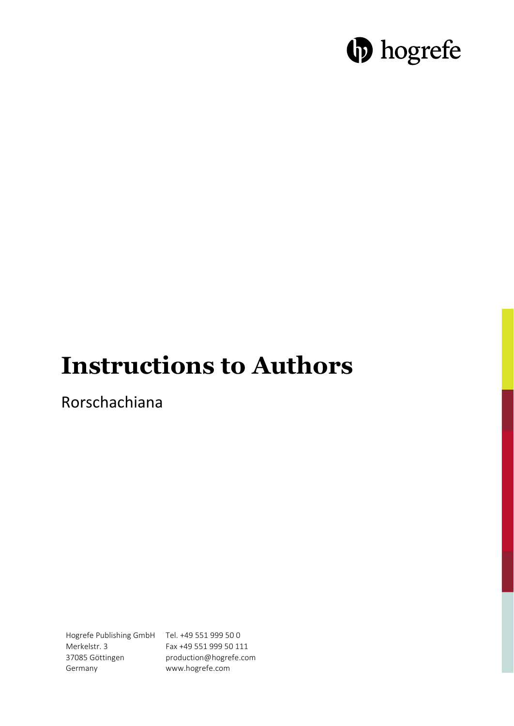# **D** hogrefe

## **Instructions to Authors**

Rorschachiana

Hogrefe Publishing GmbH Tel. +49 551 999 50 0 Merkelstr. 3 37085 Göttingen Germany

Fax +49 551 999 50 111 production@hogrefe.com www.hogrefe.com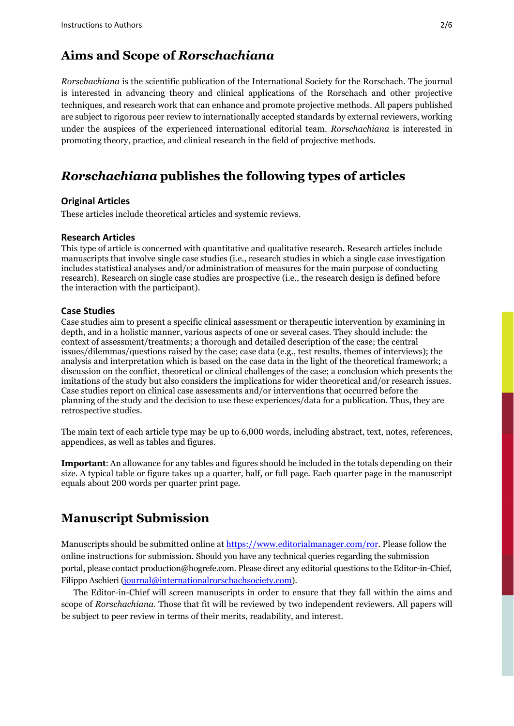## **Aims and Scope of** *Rorschachiana*

*Rorschachiana* is the scientific publication of the International Society for the Rorschach. The journal is interested in advancing theory and clinical applications of the Rorschach and other projective techniques, and research work that can enhance and promote projective methods. All papers published are subject to rigorous peer review to internationally accepted standards by external reviewers, working under the auspices of the experienced international editorial team. *Rorschachiana* is interested in promoting theory, practice, and clinical research in the field of projective methods.

## *Rorschachiana* **publishes the following types of articles**

#### **Original Articles**

These articles include theoretical articles and systemic reviews.

#### **Research Articles**

This type of article is concerned with quantitative and qualitative research. Research articles include manuscripts that involve single case studies (i.e., research studies in which a single case investigation includes statistical analyses and/or administration of measures for the main purpose of conducting research). Research on single case studies are prospective (i.e., the research design is defined before the interaction with the participant).

#### **Case Studies**

Case studies aim to present a specific clinical assessment or therapeutic intervention by examining in depth, and in a holistic manner, various aspects of one or several cases. They should include: the context of assessment/treatments; a thorough and detailed description of the case; the central issues/dilemmas/questions raised by the case; case data (e.g., test results, themes of interviews); the analysis and interpretation which is based on the case data in the light of the theoretical framework; a discussion on the conflict, theoretical or clinical challenges of the case; a conclusion which presents the imitations of the study but also considers the implications for wider theoretical and/or research issues. Case studies report on clinical case assessments and/or interventions that occurred before the planning of the study and the decision to use these experiences/data for a publication. Thus, they are retrospective studies.

The main text of each article type may be up to 6,000 words, including abstract, text, notes, references, appendices, as well as tables and figures.

**Important**: An allowance for any tables and figures should be included in the totals depending on their size. A typical table or figure takes up a quarter, half, or full page. Each quarter page in the manuscript equals about 200 words per quarter print page.

## **Manuscript Submission**

Manuscripts should be submitted online at [https://www.editorialmanager.com/ror.](https://www.editorialmanager.com/ror) Please follow the online instructions for submission. Should you have any technical queries regarding the submission portal, please contact [production@hogrefe.com.](mailto:production@hogrefe.com) Please direct any editorial questions to the Editor-in-Chief, Filippo Aschieri [\(journal@internationalrorschachsociety.com\)](mailto:journal@internationalrorschachsociety.com).

The Editor-in-Chief will screen manuscripts in order to ensure that they fall within the aims and scope of *Rorschachiana*. Those that fit will be reviewed by two independent reviewers. All papers will be subject to peer review in terms of their merits, readability, and interest.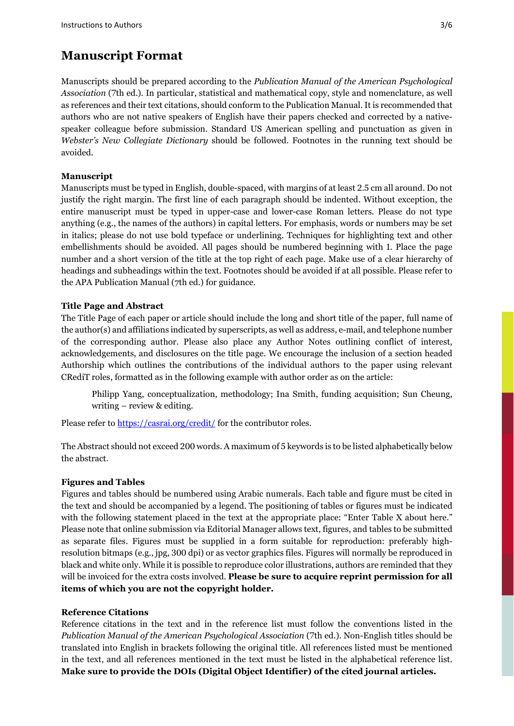## **Manuscript Format**

Manuscripts should be prepared according to the *Publication Manual of the American Psychological Association* (7th ed.). In particular, statistical and mathematical copy, style and nomenclature, as well as references and their text citations, should conform to the Publication Manual. It is recommended that authors who are not native speakers of English have their papers checked and corrected by a nativespeaker colleague before submission. Standard US American spelling and punctuation as given in *Webster's New Collegiate Dictionary* should be followed. Footnotes in the running text should be avoided.

#### **Manuscript**

Manuscripts must be typed in English, double-spaced, with margins of at least 2.5 cm all around. Do not justify the right margin. The first line of each paragraph should be indented. Without exception, the entire manuscript must be typed in upper-case and lower-case Roman letters. Please do not type anything (e.g., the names of the authors) in capital letters. For emphasis, words or numbers may be set in italics; please do not use bold typeface or underlining. Techniques for highlighting text and other embellishments should be avoided. All pages should be numbered beginning with 1. Place the page number and a short version of the title at the top right of each page. Make use of a clear hierarchy of headings and subheadings within the text. Footnotes should be avoided if at all possible. Please refer to the APA Publication Manual (7th ed.) for guidance.

#### **Title Page and Abstract**

The Title Page of each paper or article should include the long and short title of the paper, full name of the author(s) and affiliations indicated by superscripts, as well as address, e-mail, and telephone number of the corresponding author. Please also place any Author Notes outlining conflict of interest, acknowledgements, and disclosures on the title page. We encourage the inclusion of a section headed Authorship which outlines the contributions of the individual authors to the paper using relevant CRediT roles, formatted as in the following example with author order as on the article:

Philipp Yang, conceptualization, methodology; Ina Smith, funding acquisition; Sun Cheung, writing – review & editing.

Please refer to [https://casrai.org/credit/ f](https://casrai.org/credit/)or the contributor roles.

The Abstract should not exceed 200 words. A maximum of 5 keywords is to be listed alphabetically below the abstract.

#### **Figures and Tables**

Figures and tables should be numbered using Arabic numerals. Each table and figure must be cited in the text and should be accompanied by a legend. The positioning of tables or figures must be indicated with the following statement placed in the text at the appropriate place: "Enter Table X about here." Please note that online submission via Editorial Manager allows text, figures, and tables to be submitted as separate files. Figures must be supplied in a form suitable for reproduction: preferably highresolution bitmaps (e.g., jpg, 300 dpi) or as vector graphics files. Figures will normally be reproduced in black and white only. While it is possible to reproduce color illustrations, authors are reminded that they will be invoiced for the extra costs involved. **Please be sure to acquire reprint permission for all items of which you are not the copyright holder.**

#### **Reference Citations**

Reference citations in the text and in the reference list must follow the conventions listed in the *Publication Manual of the American Psychological Association* (7th ed.). Non-English titles should be translated into English in brackets following the original title. All references listed must be mentioned in the text, and all references mentioned in the text must be listed in the alphabetical reference list. **Make sure to provide the DOIs (Digital Object Identifier) of the cited journal articles.**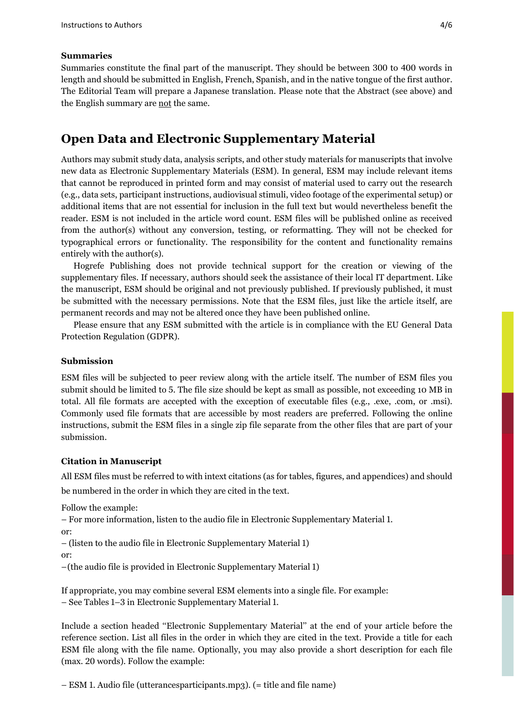#### **Summaries**

Summaries constitute the final part of the manuscript. They should be between 300 to 400 words in length and should be submitted in English, French, Spanish, and in the native tongue of the first author. The Editorial Team will prepare a Japanese translation. Please note that the Abstract (see above) and the English summary are not the same.

### **Open Data and Electronic Supplementary Material**

Authors may submit study data, analysis scripts, and other study materials for manuscripts that involve new data as Electronic Supplementary Materials (ESM). In general, ESM may include relevant items that cannot be reproduced in printed form and may consist of material used to carry out the research (e.g., data sets, participant instructions, audiovisual stimuli, video footage of the experimental setup) or additional items that are not essential for inclusion in the full text but would nevertheless benefit the reader. ESM is not included in the article word count. ESM files will be published online as received from the author(s) without any conversion, testing, or reformatting. They will not be checked for typographical errors or functionality. The responsibility for the content and functionality remains entirely with the author(s).

Hogrefe Publishing does not provide technical support for the creation or viewing of the supplementary files. If necessary, authors should seek the assistance of their local IT department. Like the manuscript, ESM should be original and not previously published. If previously published, it must be submitted with the necessary permissions. Note that the ESM files, just like the article itself, are permanent records and may not be altered once they have been published online.

Please ensure that any ESM submitted with the article is in compliance with the EU General Data Protection Regulation (GDPR).

#### **Submission**

ESM files will be subjected to peer review along with the article itself. The number of ESM files you submit should be limited to 5. The file size should be kept as small as possible, not exceeding 10 MB in total. All file formats are accepted with the exception of executable files (e.g., .exe, .com, or .msi). Commonly used file formats that are accessible by most readers are preferred. Following the online instructions, submit the ESM files in a single zip file separate from the other files that are part of your submission.

#### **Citation in Manuscript**

All ESM files must be referred to with intext citations (as for tables, figures, and appendices) and should be numbered in the order in which they are cited in the text.

Follow the example:

– For more information, listen to the audio file in Electronic Supplementary Material 1. or:

– (listen to the audio file in Electronic Supplementary Material 1)

or:

–(the audio file is provided in Electronic Supplementary Material 1)

If appropriate, you may combine several ESM elements into a single file. For example: – See Tables 1–3 in Electronic Supplementary Material 1.

Include a section headed ''Electronic Supplementary Material'' at the end of your article before the reference section. List all files in the order in which they are cited in the text. Provide a title for each ESM file along with the file name. Optionally, you may also provide a short description for each file (max. 20 words). Follow the example:

– ESM 1. Audio file (utterancesparticipants.mp3). (= title and file name)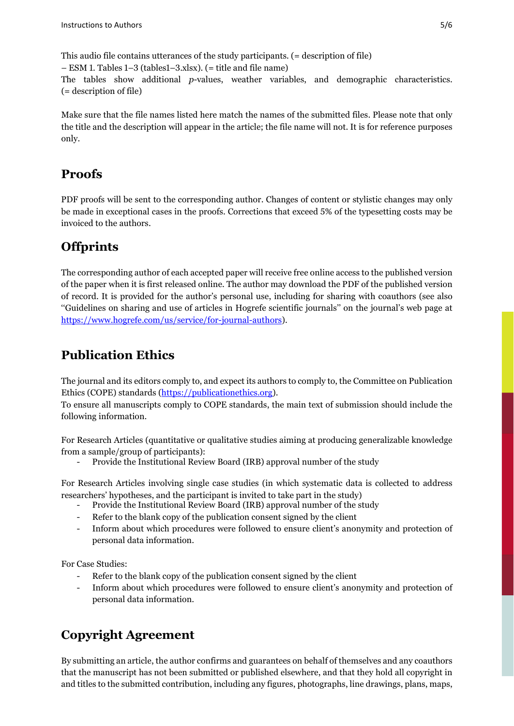This audio file contains utterances of the study participants. (= description of file) – ESM 1. Tables 1–3 (tables1–3.xlsx). (= title and file name)

The tables show additional *p*-values, weather variables, and demographic characteristics. (= description of file)

Make sure that the file names listed here match the names of the submitted files. Please note that only the title and the description will appear in the article; the file name will not. It is for reference purposes only.

## **Proofs**

PDF proofs will be sent to the corresponding author. Changes of content or stylistic changes may only be made in exceptional cases in the proofs. Corrections that exceed 5% of the typesetting costs may be invoiced to the authors.

## **Offprints**

The corresponding author of each accepted paper will receive free online access to the published version of the paper when it is first released online. The author may download the PDF of the published version of record. It is provided for the author's personal use, including for sharing with coauthors (see also ''Guidelines on sharing and use of articles in Hogrefe scientific journals'' on the journal's web page at [https://www.hogrefe.com/us/service/for-journal-authors\)](https://www.hogrefe.com/us/service/for-journal-authors).

## **Publication Ethics**

The journal and its editors comply to, and expect its authors to comply to, the Committee on Publication Ethics (COPE) standards [\(https://publicationethics.org\)](https://publicationethics.org/).

To ensure all manuscripts comply to COPE standards, the main text of submission should include the following information.

For Research Articles (quantitative or qualitative studies aiming at producing generalizable knowledge from a sample/group of participants):

Provide the Institutional Review Board (IRB) approval number of the study

For Research Articles involving single case studies (in which systematic data is collected to address researchers' hypotheses, and the participant is invited to take part in the study)

- Provide the Institutional Review Board (IRB) approval number of the study
- Refer to the blank copy of the publication consent signed by the client
- Inform about which procedures were followed to ensure client's anonymity and protection of personal data information.

For Case Studies:

- Refer to the blank copy of the publication consent signed by the client
- Inform about which procedures were followed to ensure client's anonymity and protection of personal data information.

## **Copyright Agreement**

By submitting an article, the author confirms and guarantees on behalf of themselves and any coauthors that the manuscript has not been submitted or published elsewhere, and that they hold all copyright in and titles to the submitted contribution, including any figures, photographs, line drawings, plans, maps,